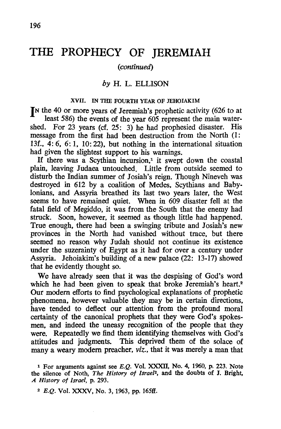# **THE PROPHECY OF JEREMIAH**

## *(continued)*

## *by* H. L. ELLISON

### XVII. IN THE FOURTH YEAR OF JEHOIAKIM

**IN** the 40 or more years of Jeremiah's prophetic activity (626 to at least 586) the events of the year 605 represent the main watershed. For 23 years (cf. 25: 3) he had prophesied disaster. His message from the first had been destruction from the North (1: 13f., 4: 6, 6: I, 10: 22), but nothing in the international situation had given the slightest support to his warnings.

If there was a Scythian incursion,<sup> $1$ </sup> it swept down the coastal plain, leaving Judaea untouched. Little from outside seemed to disturb the Indian summer of Josiah's reign. Though Nineveh was destroyed in 612 by a coalition of Medes, Scythians and Babylonians, and Assyria breathed its last two years later, the West seems to have remained quiet. When in 609 disaster fell at the fatal field of Megiddo, it was from the South that the enemy had struck. Soon, however, it seemed as though little had happened. True enough, there had been a swinging tribute and Josiah's new provinces in the North had vanished without trace, but there seemed no reason why Judah should not continue its existence under the suzerainty of Egypt as it had for over a century under Assyria. Jehoiakim's building of a new palace (22: 13-17) showed that he evidently thought so.

We have already seen that it was the despising of God's word which he had been given to speak that broke Jeremiah's heart.<sup>2</sup> Our modem efforts to find psychological explanations of prophetic phenomena, however valuable they may be in certain directions. have tended to deflect our attention from the profound moral certainty of the canonical prophets that they were God's spokesmen, and indeed the uneasy recognition of the people that they were. Repeatedly we find them identifying themselves with God's attitudes and judgments. This deprived them of the solace of many a weary modem preacher, *viz.,* that it was merely a man that

<sup>1</sup>For arguments against see E.Q. Vol. XXXII, No. 4, 1960, p. 223. Note the silence of Noth, *The History of Israe12,* and the doubts of J. Bright, *A History of Israel,* p. 293.

*<sup>2</sup>* E.Q. Vol. XXXV, No. 3, 1963, pp. 165ff.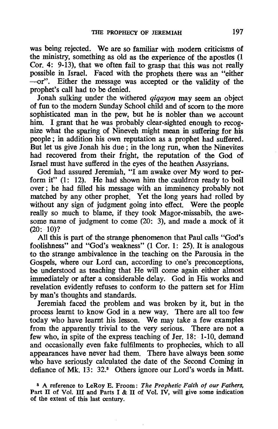was being rejected. We are so familiar with modem criticisms of the ministry, something as old as the experience of the apostles (1 Cor. 4: 9-13), that we often fail to grasp that this was not really possible in Israel. Faced with the prophets there was an "either -or". Either the message was accepted or the validity of the prophet's call had to be denied.

Jonah sulking under the withered *qiqayon* may seem an object of fun to the modem Sunday School child and of scorn to the more sophisticated man in the pew, but he is nobler than we account him. I grant that he was probably clear-sighted enough to recognize what the sparing of Nineveh might mean in suffering for his people; in addition his own reputation as a prophet had suffered. But let us give Jonah his due; in the long run, when the Ninevites had recovered from their fright, the reputation of the God of Israel must have suffered in the eyes of the heathen Assyrians.

God had assured Jeremiah, "I am awake over My word to perform it" (l: 12). He had shown him the cauldron ready to boil over; he had filled his message with an imminency probably not matched by any other prophet. Yet the long years had rolled by without any sign of judgment going into effect. Were the people really so much to blame, if they took Magor-missabib, the awesome name of judgment to come (20: 3), and made a mock of it (20: 1O)?

All this is part of the strange phenomenon that Paul calls "God's foolishness" and "God's weakness" (1 Cor. 1: 25). It is analogous to the strange ambivalence in the teaching on the Parousia in the Gospels. where our Lord can, according to one's preconceptions, be understood as teaching that He will come again either almost immediately or after a considerable delay. God in His works and revelation evidently refuses to conform to the pattern set for Him by man's thoughts and standards.

Jeremiah faced the problem and was broken by it, but in the process learnt to know God in a new way. There are all too few today who have learnt his lesson. We may take a few examples from the apparently trivial to the very serious. There are not a few who, in spite of the express teaching of Jer. 18: 1-10, demand and occasionally even fake fulfilments to prophecies, which to all appearances have never had them. There have always been some who have seriously calculated the date of the Second Coming in defiance of Mk. 13: 32.3 Others ignore our Lord's words in Matt.

S A reference to LeRoy E. Froom: *The Prophetic Faith of our Fathers,*  Part II of Vol. III and Parts I &  $\Pi$  of Vol. IV, will give some indication of the extent of this last century.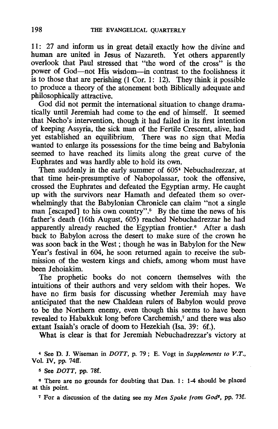11: 27 and inform us in great detail exactly how the divine and human are united in Jesus of Nazareth. Yet others apparently overlook that Paul stressed that "the word of the cross" is the power of God-not His wisdom-in contrast to the foolishness it is to those that are perishing  $(1 \text{ Cor. } 1: 12)$ . They think it possible to produce a theory of the atonement both Biblically adequate and philosophically attractive.

God did not permit the international situation to change dramatically until Jeremiah had come to the end of himself. It seemed that Necho's intervention, though it had failed in its first intention of keeping Assyria, the sick man of the Fertile Crescent, alive, had yet established an equilibrium. There was no sign that Media wanted to enlarge its possessions for the time being and Babylonia seemed to have reached its limits along the great curve of the Euphrates and was hardly able to hold its own.

Then suddenly in the early summer of 605<sup>4</sup> Nebuchadrezzar, at that time heir-presumptive of Nabopolassar, took the offensive, crossed the Euphrates and defeated the Egyptian army. He caught up with the survivors near Hamath and defeated them so overwhelmingly that the Babylonian Chronicle can claim "not a single man [escaped] to his own country".<sup>5</sup> By the time the news of his father's death (16th August, 605) reached Nebuchadrezzar he had apparently already reached the Egyptian frontier.<sup>6</sup> After a dash back to Babylon across the desert to make sure of the crown he was soon back in the West; though he was in Babylon for the New Year's festival in 604, he soon returned again to receive the submission of the western kings and chiefs, among whom must have been Jehoiakim.

The prophetic books do not concern themselves with the intuitions of their authors and very seldom with their hopes. We have no firm basis for discussing whether Jeremiah may have anticipated that the new Chaldean rulers of Babylon would prove to be the Northern enemy, even though this seems to have been revealed to Habakkuk long before Carchemish,<sup>7</sup> and there was also extant Isaiah's oracle of doom to Hezekiah (Isa. 39: 6f.).

What is clear is that for Jeremiah Nebuchadrezzar's victory at

4 See D. I. Wiseman in *DOTT,* p. 79; E. Vogt in *Supplements to V.T.,*  Vol. IV, pp. 74ff.

5 See *DOTT,* pp. 78f.

6 There are no grounds for doubting that Dan. 1: 1-4 should be placed at this point.

7 For a discussion of the dating see my *Men Spake from God' ,* pp. 73f.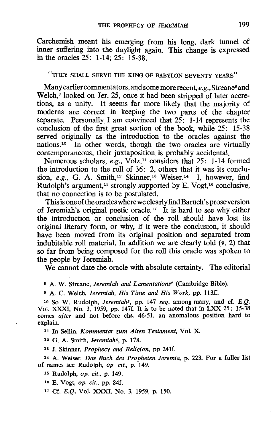Carchemish meant his emerging from his long, dark tunnel of inner suffering into the daylight again. This change is expressed in the oracles 25: 1-14; 25: 15-38.

## "THEY SHALL SERVE THE KING OF BABYLON SEVENTY YEARS"

Many earlier commentators, and some more recent, *e.g.*, Streane<sup>8</sup> and Welch,<sup>9</sup> looked on Jer. 25, once it had been stripped of later accretions, as a unity. It seems far more likely that the majority of modems are correct in keeping the two parts of the chapter separate. Personally I am convinced that  $25$ : 1-14 represents the conclusion of the first great section of the book, while 25: 15-38 served originally as the introduction to the oracles against the nations.10 In other words, though the two oracles are virtually contemporaneous, their juxtaposition is probably accidental.

Numerous scholars, *e.g.*, Volz,<sup>11</sup> considers that 25: 1-14 formed the introduction to the roll of 36: 2, others that it was its conclusion, *e.g.*, G. A. Smith,<sup>12</sup> Skinner,<sup>13</sup> Weiser.<sup>14</sup> I, however, find Rudolph's argument,<sup>15</sup> strongly supported by E. Vogt,<sup>16</sup> conclusive, that no connection is to be postulated.

This is one of the oracles where we clearly find Baruch's prose version of Jeremiah's original poetic oracle.<sup>17</sup> It is hard to see why either the introduction or conclusion of the roll should have lost its original literary form, or why, if it were the conclusion, it should have been moved from its original position and separated from indubitable roll material. In addition we are clearly told (v. 2) that so far from being composed for the roll this oracle was spoken to the people by Jeremiah.

We cannot date the oracle with absolute certainty. The editorial

<sup>8</sup>A. W. Streane, *Jeremiah* and *Lamentation§1.* (Cambridge Bible).

<sup>9</sup>A. C. Welch, *Jeremiah. His Time and His Work.* pp. 113ff.

10 So W. Rudolph, *Jeremiah!,* pp. 147 *seq.* among many, and cf. E.Q. Vol. XXXI, No. 3, 1959, pp. 147f. It is to be noted that in LXX 25: 15-38 comes *after* and not before chs. 46-51, an anomalous position hard to explain.

11 In Sellin, *Kommentar zum Alten Testament,* Vol. X.

12 G. A. Smith, *Jeremiah4,* p. 178.

13 J. Skinner, *Prophecy and Religion,* pp 24lf.

<sup>14</sup>A. Weiser, *Das Buch des Propheten Jeremia,* p. 223. For a fuller list of names see Rudolph, *op. cit.,* p. 149.

15 Rudolph, *op. cit.,* p. 149.

16 E. Vogt, *op. cit.,* pp. 84f.

17 Cf. E.Q. Vol. XXXI, No. 3, 1959, p. 150.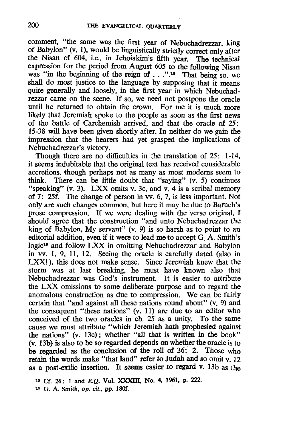comment, "the same was the first year of Nebuchadrezzar, king of Babylon" (v. I), would be linguistically strictly correct only after the Nisan of 604, i.e., in Jehoiakim's fifth year. The technical expression for the period from August 605 to the following Nisan was "in the beginning of the reign of . . ."<sup>18</sup> That being so, we shall do most justice to the language by supposing that it means quite generally and loosely, in the first year in which Nebuchadrezzar came on the scene. H so, we need not postpone the oracle until he returned to obtain the crown. For me it is much more likely that Jeremiah spoke to the people as soon as the first news of the battle of Carchemish arrived, and that the oracle of 25: 15-38 will have been given shortly after. In neither do we gain the impression that the hearers had yet grasped the implications of Nebuchadrezzar's victory.

Though there are no difficulties in the translation of 25: 1-14, it seems indubitable that the original text has received considerable accretions, though perhaps not as many as most modems seem to think. There can be little doubt that "saying" (v. 5) continues "speaking" (v. 3). LXX omits v. 3c, and v. 4 is a scribal memory of 7: 25f. The change of person in vv. 6, 7, is less important. Not only are such changes common, but here it may be due to Baruch's prose compression. H we were dealing with the verse original, I should agree that the construction "and unto Nebuchadrezzar the king of Babylon, My servant" (v. 9) is so harsh as to point to an editorial addition, even if it were to lead me to accept G. A. Smith's logic19 and follow LXX in omitting Nebuchadrezzar and Babylon in vv. 1, 9, 11, 12. Seeing the oracle is carefully dated (also in LXX!), this does not make sense. Since Jeremiah knew that the storm was at last breaking, he must have known also that Nebuchadrezzar was God's instrument. It is easier to attribute the LXX omissions to some deliberate purpose and to regard the anomalous construction as due to compression. We can be fairly certain that "and against all these nations round about" (v. 9) and the consequent "these nations" (v. 11) are due to an editor who conceived of the two oracles in ch. 25 as a unity. To the same cause we must attribute "which Jeremiah hath prophesied against the nations" (v. 13c); whether "all that is written in the book" (v. 13b) is also to be so regarded depends on whether the oracle is to be regarded as the conclusion of the roll of 36: 2. Those who retain the words make "that land" refer to Judah and so omit v. 12 as a post-exilic insertion. It seems easier to regard v. l3b as the

<sup>18</sup> Cf. 26: 1 and E.O. Vol. XXXIII, No. 4, 1961, p. 222.

<sup>19</sup> G. A. Smith, op. *cit.,* pp. ISOf.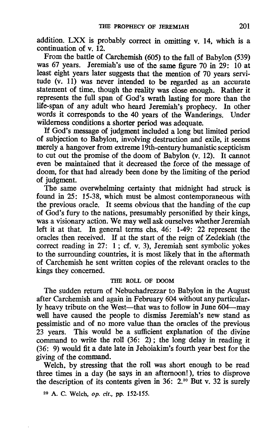addition. LXX is probably correct in omitting v. 14, which is a continuation of v. 12.

From the battle of Carchemish (605) to the fall of Babylon (539) was 67 years. Jeremiah's use of the same figure 70 in 29: 10 at least eight years later suggests that the mention of 70 years servitude (v. 11) was never intended to be regarded as an accurate statement of time, though the reality was close enough. Rather it represents the full span of God's wrath lasting for more than the life-span of any adult who heard Jeremiah's prophecy. In other words it corresponds to the 40 years of the Wanderings. Under wilderness conditions a shorter period was adequate.

If God's message of judgment included a long but limited period of subjection to Babylon, involving destruction and exile, it seems merely a hangover from extreme 19th-century humanistic scepticism to cut out the promise of the doom of Babylon (v. 12). It cannot even be maintained that it decreased the force of the message of doom, for that had already been done by the limiting of the period of judgment.

The same overwhelming certainty that midnight had struck is found in 25: 15-38, which must be almost contemporaneous with the previous oracle. It seems obvious that the handing of the cup of God's fury to the nations, presumably personified by their kings, was a visionary action. We may well ask ourselves whether Jeremiah left it at that. In general terms chs. 46: 1-49: 22 represent the oracles then received. If at the start of the reign of Zedekiah (the correct reading in 27: 1; cf. v. 3), Jeremiah sent symbolic yokes to the surrounding countries, it is most likely that in the aftermath of Carchemish he sent written copies of the relevant oracles to the kings they concerned.

### THE ROLL OF DOOM

The sudden return of Nebuchadrezzar to Babylon in the August after Carchemish and again in February 604 without any particularly heavy tribute on the West-that was to follow in June 604-may well have caused the people to dismiss Jeremiah's new stand as pessimistic and of no more value than the oracles of the previous 23 years. This would be a sufficient explanation of the divine command to write the roll (36: 2); the long delay in reading it (36: 9) would fit a date late in Jehoiakim's fourth year best for the giving of the command.

Welch, by stressing that the roll was short enough to be read three times in a day (he says in an afternoon!), tries to disprove the description of its contents given in 36:  $2.^{20}$  But v. 32 is surely

20 A. C. Welch, op. cif., pp. 152-155.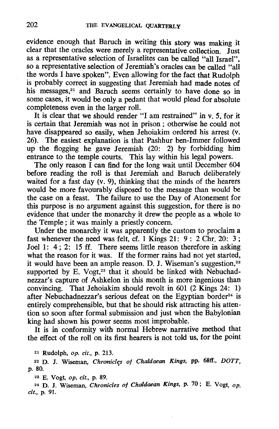evidence enough that Baruch in writing this story was making it clear that the oracles were merely a representative collection. Just as a representative selection of Israelites can be called "all Israel", so a representative selection of Jeremiah's oracles can be called "all the words I have spoken". Even allowing for the fact that Rudolph is probably correct in suggesting that Jeremiah had made notes of his messages,<sup>21</sup> and Baruch seems certainly to have done so in some cases, it would be only a pedant that would plead for absolute completeness even in the larger roll.

It is clear that we should render "I am restrained" in v. 5, for it is certain that Jeremiah was not in prison ; otherwise he could not have disappeared so easily, when Jehoiakim ordered his arrest (v. 26). The easiest explanation is that Pashhur ben-Immer followed up the floggirig he gave Jeremiah (20: 2) by forbidding him entrance to the temple courts. This lay within his legal powers.

The only reason I can find for the long wait until December 604 before reading the roll is that Jeremiah and Baruch deliberately waited for a fast day (v. 9), thinking that the minds of the hearers would be more favourably disposed to the message than would be the case on a feast. The failure to use the Day of Atonement for this purpose is no argument against this suggestion, for there is no evidence that under the monarchy it drew the people as a whole to the Temple; it was mainly a priestly concern. .

Under the monarchy it was apparently the custom to proclaim a fast whenever the need was felt, cf. 1 Kings 21:  $9: 2 \text{ Chr. } 20: 3:$ Joel 1: 4; 2: 15 ff. There seems little reason therefore in asking what the reason for it was. If the former rains had not yet started, it would have been an ample reason. D. J. Wiseman's suggestion, $22$ supported by E. Vogt, $23$  that it should be linked with Nebuchadnezzar's capture of Ashkelon in this month is more ingenious than convincing. That Jehoiakim should revolt in 601 (2 Kings 24: 1) after Nebuchadnezzar's serious defeat on the Egyptian border<sup>24</sup> is entirely comprehensible, but that he should risk attracting his atten $\cdot$ tion so soon after formal submission and just when the Babylonian king had shown his power seems most improbable.

It is in conformity with normal Hebrew narrative method that the effect of the roll on its first hearers is not told us, for the point

21 Rudolph, *op.* cif., p. 213.

22 D. I. Wiseman *Chronicles of Chaldaean Kings,* pp. 68ft., *DOTT,*  p. 80.

23 E. Vogt, *op.* cif., p. 89.

24 D. J. Wiseman, *Chronicles of Chaldaean Kings,* p. 70; E. Vogt, *op.*  cit., p. 91.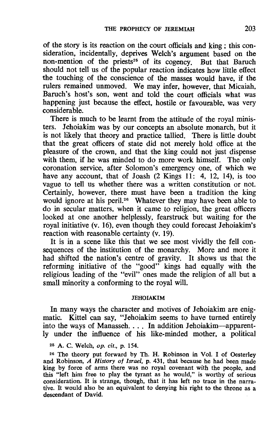of the story is its reaction on the court officials and king; this consideration, incidentally, deprives Welch's argument based on the non-mention of the priests<sup>25</sup> of its cogency. But that Baruch should not tell us of the popular reaction indicates how little effect the touching of the conscience of the masses would have, if the rulers remained unmoved. We may infer, however, that Micaiah, Baruch's host's son, went and told the court officials what was happening just because the effect, hostile or favourable, was very considerable.

There is much to be learnt from the attitude of the royal ministers. Jehoiakim was by our concepts an absolute monarch, but it is not likely that theory and practice tallied. There is little doubt that the great officers of state did not merely hold office at the pleasure of the crown, and that the king could not just dispense with them, if he was minded to do more work himself. The only coronation service, after Solomon's emergency one, of which we have any account, that of Joash (2 Kings 11: 4, 12, 14), is too vague to tell us whether there was a written constitution or not. Certainly, however, there must have been a tradition the king would ignore at his peril.<sup>26</sup> Whatever they may have been able to do in secular matters, when it came to religion, the great officers looked at one another helplessly, fearstruck but waiting for the royal initiative (v. 16), even though they could forecast Jehoiakim's reaction with reasonable certainty (v. 19).

It is in a scene like this that we see most vividly the fell consequences of the institution of the monarchy. More and more it had shifted the nation's centre of gravity. It shows us that the reforming initiative of the "good" kings had equally with the religious leading of the "evil" ones made the religion of all but a small minority a conforming to the royal will.

#### JEHOIAKIM

In many ways the character and motives of Jehoiakim are enigmatic. Kittel can say, "Jehoiakim seems to have turned entirely into the ways of Manasseh. . . . In addition Jehoiakim---apparently under the influence of his like-minded mother, a political

<sup>25</sup>A. C. Welch, op. cif., p. 154.

26 The theory put forward by Th. H. Robinson in Vol. I of Oesterley and Robinson, *A History* of *Israel,* p. 431, that because he had been made king by force of arms there was no royal covenant with the people, and this "left him free to play the tyrant as he would," is worthy of serious consideration. It is strange, though, that it has left no trace in the narrative. It would also be an equivalent to denying his right to the throne as a descendant of David.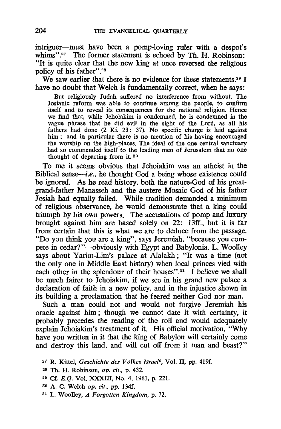intriguer-must have been a pomp-loving ruler with a despot's whims".<sup>27</sup> The former statement is echoed by Th. H. Robinson: "It is quite clear that the new king at once reversed the religious policy of his father".28

We saw earlier that there is no evidence for these statements.<sup>29</sup> I have no doubt that Welch is fundamentally correct, when he says:

But religiously Iudah suffered no interference from without. The Iosianic reform was able to continue among the people, to confirm itself and to reveal its consequences for the national religion. Hence we find that, while Iehoiakim is condemned, he is condemned in the vague phrase that he did evil in the sight of the Lord, as all his fathers had done (2 Ki. 23: 37). No specific charge is laid against him; and in particular there is no mention of his having encouraged the worship on the high-places. The ideal of the one central sanctuary had so commended itself to the leading men of Ierusalem that no one thought of departing from it. <sup>30</sup>

To me it seems obvious that Jehoiakim was an atheist in the Biblical sense—i.e., he thought God a being whose existence could be ignored. As he read history, both the nature-God of his greatgrand-father Manasseh and the austere Mosaic God of his father Josiah had equally failed. While tradition demanded a minimum of religious observance, he would demonstrate that a king could triumph by his own powers. The accusations of pomp and luxury brought against him are based solely on 22: 13ff., but it is far from certain that this is what we are to deduce from the passage. "Do you think you are a king", says Jeremiah, "because you compete in cedar?"-obviously with Egypt and Babylonia. L. Woolley says about Yarim-Lim's palace at Alalakh; "It was a time (not the only one in Middle East history) when local princes vied with each other in the splendour of their houses".<sup>31</sup> I believe we shall be much fairer to Jehoiakim, if we see in his grand new palace a declaration of faith in a new policy, and in the injustice shown in its building a proclamation that he feared neither God nor man.

Such a man could not and would not forgive Jeremiah his oracle against him; though we cannot date it with certainty, it probably precedes the reading of the roll and would adequately explain Jehoiakim's treatment of it. His official motivation, "Why have you written in it that the king of Babylon will certainly come and destroy this land, and will cut off from it man and beast?"

81 L. WoolIey, *A Forgotten Kingdom,* p. 72.

<sup>27</sup> R. Kittel, *Geschichte des Volkes Israe/6 ,* Vol. 11, pp. 419f.

<sup>28</sup> Th. H. Robinson, op. *cit.,* p. 432.

<sup>29</sup> Cf. E.Q. Vol. XXXIII, No. 4, 1961, p. 221.

<sup>30</sup> A. C. Welch op. *cit.,* pp. 134f.